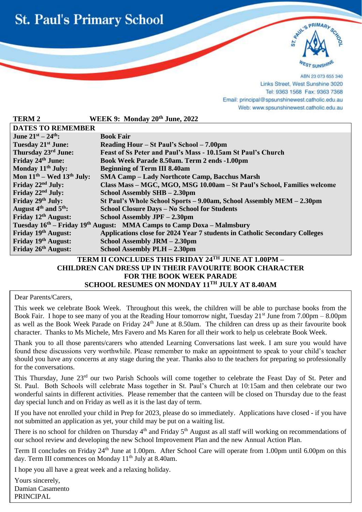



ABN 23 073 655 340 Links Street, West Sunshine 3020 Tel: 9363 1568 Fax: 9363 7368 Email: principal@spsunshinewest.catholic.edu.au Web: www.spsunshinewest.catholic.edu.au

| <b>TERM 2</b>                                                                                 | WEEK 9: Monday 20th June, 2022                                             |  |
|-----------------------------------------------------------------------------------------------|----------------------------------------------------------------------------|--|
| <b>DATES TO REMEMBER</b>                                                                      |                                                                            |  |
| June $21^{st} - 24^{th}$ :                                                                    | <b>Book Fair</b>                                                           |  |
| Tuesday 21 <sup>st</sup> June:                                                                | Reading Hour – St Paul's School – 7.00pm                                   |  |
| Thursday 23rd June:                                                                           | Feast of Ss Peter and Paul's Mass - 10.15am St Paul's Church               |  |
| Friday 24th June:                                                                             | Book Week Parade 8.50am. Term 2 ends -1.00pm                               |  |
| Monday 11 <sup>th</sup> July:                                                                 | <b>Beginning of Term III 8.40am</b>                                        |  |
| Mon $11th$ – Wed $13th$ July:                                                                 | <b>SMA Camp - Lady Northcote Camp, Bacchus Marsh</b>                       |  |
| Friday 22 <sup>nd</sup> July:                                                                 | Class Mass - MGC, MGO, MSG 10.00am - St Paul's School, Families welcome    |  |
| Friday 22 <sup>nd</sup> July:                                                                 | School Assembly SHB - 2.30pm                                               |  |
| Friday 29th July:                                                                             | St Paul's Whole School Sports - 9.00am, School Assembly MEM - 2.30pm       |  |
| August $4th$ and $5th$ :                                                                      | School Closure Days - No School for Students                               |  |
| Friday 12 <sup>th</sup> August:                                                               | School Assembly JPF - 2.30pm                                               |  |
| Tuesday 16 <sup>th</sup> – Friday 19 <sup>th</sup> August: MMA Camps to Camp Doxa – Malmsbury |                                                                            |  |
| Friday 19th August:                                                                           | Applications close for 2024 Year 7 students in Catholic Secondary Colleges |  |
| Friday 19th August:                                                                           | School Assembly JRM - 2.30pm                                               |  |
| Friday 26th August:                                                                           | School Assembly PLH - 2.30pm                                               |  |
| TERM II CONCLUDES THIS FRIDAY 24TH JUNE AT 1.00PM -                                           |                                                                            |  |

#### **TERM II CONCLUDES THIS FRIDAY 24 CHILDREN CAN DRESS UP IN THEIR FAVOURITE BOOK CHARACTER FOR THE BOOK WEEK PARADE SCHOOL RESUMES ON MONDAY 11 TH JULY AT 8.40AM**

Dear Parents/Carers,

l

This week we celebrate Book Week. Throughout this week, the children will be able to purchase books from the Book Fair. I hope to see many of you at the Reading Hour tomorrow night, Tuesday  $21^{st}$  June from 7.00pm – 8.00pm as well as the Book Week Parade on Friday  $24<sup>th</sup>$  June at 8.50am. The children can dress up as their favourite book character. Thanks to Ms Michele, Mrs Favero and Ms Karen for all their work to help us celebrate Book Week.

Thank you to all those parents/carers who attended Learning Conversations last week. I am sure you would have found these discussions very worthwhile. Please remember to make an appointment to speak to your child's teacher should you have any concerns at any stage during the year. Thanks also to the teachers for preparing so professionally for the conversations.

This Thursday, June 23<sup>rd</sup> our two Parish Schools will come together to celebrate the Feast Day of St. Peter and St. Paul. Both Schools will celebrate Mass together in St. Paul's Church at 10:15am and then celebrate our two wonderful saints in different activities. Please remember that the canteen will be closed on Thursday due to the feast day special lunch and on Friday as well as it is the last day of term.

If you have not enrolled your child in Prep for 2023, please do so immediately. Applications have closed - if you have not submitted an application as yet, your child may be put on a waiting list.

There is no school for children on Thursday  $4<sup>th</sup>$  and Friday  $5<sup>th</sup>$  August as all staff will working on recommendations of our school review and developing the new School Improvement Plan and the new Annual Action Plan.

Term II concludes on Friday 24<sup>th</sup> June at 1.00pm. After School Care will operate from 1.00pm until 6.00pm on this day. Term III commences on Monday  $11<sup>th</sup>$  July at 8.40am.

I hope you all have a great week and a relaxing holiday.

Yours sincerely, Damian Casamento PRINCIPAL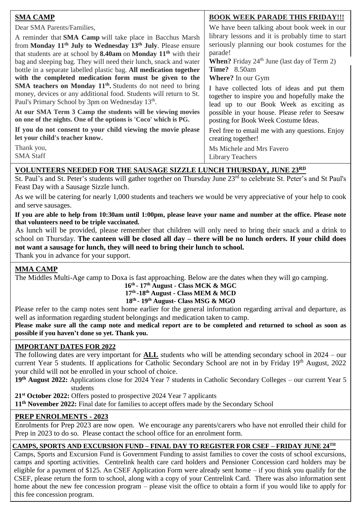| <b>SMA CAMP</b>                                                                     | <b>BOOK WEEK PARADE THIS FRIDAY!!!</b>               |
|-------------------------------------------------------------------------------------|------------------------------------------------------|
| Dear SMA Parents/Families,                                                          | We have been talking about book week in our          |
| A reminder that <b>SMA Camp</b> will take place in Bacchus Marsh                    | library lessons and it is probably time to start     |
| from Monday 11 <sup>th</sup> July to Wednesday 13 <sup>th</sup> July. Please ensure | seriously planning our book costumes for the         |
| that students are at school by 8.40am on Monday 11 <sup>th</sup> with their         | parade!                                              |
| bag and sleeping bag. They will need their lunch, snack and water                   | <b>When?</b> Friday $24th$ June (last day of Term 2) |
| bottle in a separate labelled plastic bag. All medication together                  | <b>Time?</b> 8.50am                                  |
| with the completed medication form must be given to the                             | <b>Where?</b> In our Gym                             |
| <b>SMA teachers on Monday 11<sup>th</sup></b> . Students do not need to bring       | I have collected lots of ideas and put them          |
| money, devices or any additional food. Students will return to St.                  | together to inspire you and hopefully make the       |
| Paul's Primary School by 3pm on Wednesday 13 <sup>th</sup> .                        | lead up to our Book Week as exciting as              |
| At our SMA Term 3 Camp the students will be viewing movies                          | possible in your house. Please refer to Seesaw       |
| on one of the nights. One of the options is 'Coco' which is PG.                     | posting for Book Week Costume Ideas.                 |
| If you do not consent to your child viewing the movie please                        | Feel free to email me with any questions. Enjoy      |
| let your child's teacher know.                                                      | creating together!                                   |
| Thank you,                                                                          | Ms Michele and Mrs Favero                            |
| <b>SMA Staff</b>                                                                    | Library Teachers                                     |

### **VOLUNTEERS NEEDED FOR THE SAUSAGE SIZZLE LUNCH THURSDAY, JUNE 23RD**

St. Paul's and St. Peter's students will gather together on Thursday June 23<sup>rd</sup> to celebrate St. Peter's and St Paul's Feast Day with a Sausage Sizzle lunch.

 and serve sausages. As we will be catering for nearly 1,000 students and teachers we would be very appreciative of your help to cook

**If you are able to help from 10:30am until 1:00pm, please leave your name and number at the office. Please note that volunteers need to be triple vaccinated.**

As lunch will be provided, please remember that children will only need to bring their snack and a drink to school on Thursday. **The canteen will be closed all day – there will be no lunch orders. If your child does not want a sausage for lunch, they will need to bring their lunch to school.**

Thank you in advance for your support.

#### **MMA CAMP**

The Middles Multi-Age camp to Doxa is fast approaching. Below are the dates when they will go camping.

#### **16th - 17th August - Class MCK & MGC 17th -18th August - Class MEM & MCD**

#### **18th - 19th August- Class MSG & MGO**

Please refer to the camp notes sent home earlier for the general information regarding arrival and departure, as well as information regarding student belongings and medication taken to camp.

**Please make sure all the camp note and medical report are to be completed and returned to school as soon as possible if you haven't done so yet. Thank you.**

#### **IMPORTANT DATES FOR 2022**

The following dates are very important for **ALL** students who will be attending secondary school in 2024 – our current Year 5 students. If applications for Catholic Secondary School are not in by Friday 19th August, 2022 your child will not be enrolled in your school of choice.

**19th August 2022:** Applications close for 2024 Year 7 students in Catholic Secondary Colleges – our current Year 5 students

**21st October 2022:** Offers posted to prospective 2024 Year 7 applicants

**11th November 2022:** Final date for families to accept offers made by the Secondary School

#### **PREP ENROLMENTS - 2023**

Enrolments for Prep 2023 are now open. We encourage any parents/carers who have not enrolled their child for Prep in 2023 to do so. Please contact the school office for an enrolment form.

#### **CAMPS, SPORTS AND EXCURSION FUND – FINAL DAY TO REGISTER FOR CSEF – FRIDAY JUNE 24TH**

Camps, Sports and Excursion Fund is Government Funding to assist families to cover the costs of school excursions, camps and sporting activities. Centrelink health care card holders and Pensioner Concession card holders may be eligible for a payment of \$125. An CSEF Application Form were already sent home – if you think you qualify for the CSEF, please return the form to school, along with a copy of your Centrelink Card. There was also information sent home about the new fee concession program – please visit the office to obtain a form if you would like to apply for this fee concession program.